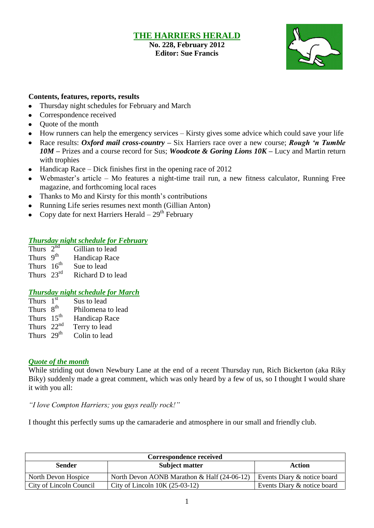# **THE HARRIERS HERALD**

**No. 228, February 2012 Editor: Sue Francis**



#### **Contents, features, reports, results**

- Thursday night schedules for February and March
- $\bullet$ Correspondence received
- Quote of the month  $\bullet$
- How runners can help the emergency services Kirsty gives some advice which could save your life
- Race results: *Oxford mail cross-country –* Six Harriers race over a new course; *Rough 'n Tumble 10M –* Prizes and a course record for Sus; *Woodcote & Goring Lions 10K –* Lucy and Martin return with trophies
- Handicap Race Dick finishes first in the opening race of 2012
- Webmaster's article Mo features a night-time trail run, a new fitness calculator, Running Free  $\bullet$ magazine, and forthcoming local races
- Thanks to Mo and Kirsty for this month's contributions  $\bullet$
- Running Life series resumes next month (Gillian Anton)  $\bullet$
- Copy date for next Harriers Herald  $-29<sup>th</sup>$  February

#### *Thursday night schedule for February*

Thurs  $2^{nd}$ Gillian to lead Thurs  $9<sup>th</sup>$  Handicap Race Thurs  $16^{th}$ <br>Thurs  $23^{rd}$ Sue to lead Richard D to lead

#### *Thursday night schedule for March*

| Thurs $1st$            | Sus to lead       |
|------------------------|-------------------|
| Thurs 8 <sup>th</sup>  | Philomena to lead |
| Thurs $15th$           | Handicap Race     |
| Thurs $22nd$           | Terry to lead     |
| Thurs 29 <sup>th</sup> | Colin to lead     |

#### *Quote of the month*

While striding out down Newbury Lane at the end of a recent Thursday run, Rich Bickerton (aka Riky Biky) suddenly made a great comment, which was only heard by a few of us, so I thought I would share it with you all:

*"I love Compton Harriers; you guys really rock!"*

I thought this perfectly sums up the camaraderie and atmosphere in our small and friendly club.

| Correspondence received |                                                |                             |  |  |  |  |
|-------------------------|------------------------------------------------|-----------------------------|--|--|--|--|
| Sender                  | <b>Subject matter</b>                          | Action                      |  |  |  |  |
| North Devon Hospice     | North Devon AONB Marathon $\&$ Half (24-06-12) | Events Diary & notice board |  |  |  |  |
| City of Lincoln Council | City of Lincoln $10K(25-03-12)$                | Events Diary & notice board |  |  |  |  |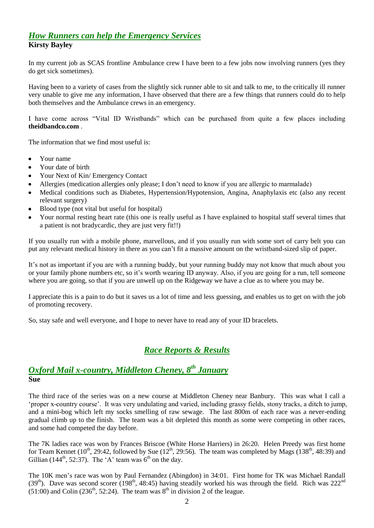# *How Runners can help the Emergency Services*

**Kirsty Bayley**

In my current job as SCAS frontline Ambulance crew I have been to a few jobs now involving runners (yes they do get sick sometimes).

Having been to a variety of cases from the slightly sick runner able to sit and talk to me, to the critically ill runner very unable to give me any information, I have observed that there are a few things that runners could do to help both themselves and the Ambulance crews in an emergency.

I have come across "Vital ID Wristbands" which can be purchased from quite a few places including **theidbandco.com** .

The information that we find most useful is:

- Your name  $\bullet$
- Your date of birth
- Your Next of Kin/ Emergency Contact
- Allergies (medication allergies only please; I don't need to know if you are allergic to marmalade)
- Medical conditions such as Diabetes, Hypertension/Hypotension, Angina, Anaphylaxis etc (also any recent relevant surgery)
- Blood type (not vital but useful for hospital)
- Your normal resting heart rate (this one is really useful as I have explained to hospital staff several times that a patient is not bradycardic, they are just very fit!!)

If you usually run with a mobile phone, marvellous, and if you usually run with some sort of carry belt you can put any relevant medical history in there as you can't fit a massive amount on the wristband-sized slip of paper.

It's not as important if you are with a running buddy, but your running buddy may not know that much about you or your family phone numbers etc, so it's worth wearing ID anyway. Also, if you are going for a run, tell someone where you are going, so that if you are unwell up on the Ridgeway we have a clue as to where you may be.

I appreciate this is a pain to do but it saves us a lot of time and less guessing, and enables us to get on with the job of promoting recovery.

So, stay safe and well everyone, and I hope to never have to read any of your ID bracelets.

# *Race Reports & Results*

# *Oxford Mail x-country, Middleton Cheney, 8 th January* **Sue**

The third race of the series was on a new course at Middleton Cheney near Banbury. This was what I call a 'proper x-country course'. It was very undulating and varied, including grassy fields, stony tracks, a ditch to jump, and a mini-bog which left my socks smelling of raw sewage. The last 800m of each race was a never-ending gradual climb up to the finish. The team was a bit depleted this month as some were competing in other races, and some had competed the day before.

The 7K ladies race was won by Frances Briscoe (White Horse Harriers) in 26:20. Helen Preedy was first home for Team Kennet (10<sup>th</sup>, 29:42, followed by Sue (12<sup>th</sup>, 29:56). The team was completed by Mags (138<sup>th</sup>, 48:39) and Gillian (144<sup>th</sup>, 52:37). The 'A' team was  $6<sup>th</sup>$  on the day.

The 10K men's race was won by Paul Fernandez (Abingdon) in 34:01. First home for TK was Michael Randall (39<sup>th</sup>). Dave was second scorer (198<sup>th</sup>, 48:45) having steadily worked his was through the field. Rich was 222<sup>nd</sup>  $(51:00)$  and Colin  $(236<sup>th</sup>, 52:24)$ . The team was  $8<sup>th</sup>$  in division 2 of the league.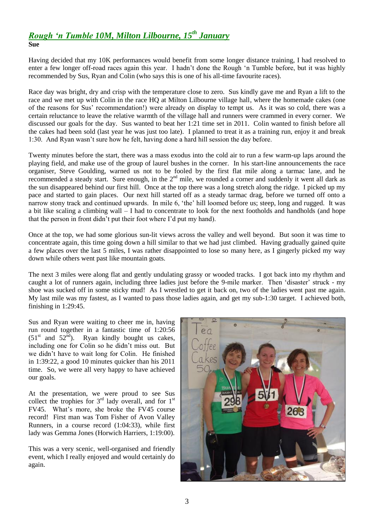#### *Rough 'n Tumble 10M, Milton Lilbourne, 15th January* **Sue**

Having decided that my 10K performances would benefit from some longer distance training, I had resolved to enter a few longer off-road races again this year. I hadn't done the Rough 'n Tumble before, but it was highly recommended by Sus, Ryan and Colin (who says this is one of his all-time favourite races).

Race day was bright, dry and crisp with the temperature close to zero. Sus kindly gave me and Ryan a lift to the race and we met up with Colin in the race HQ at Milton Lilbourne village hall, where the homemade cakes (one of the reasons for Sus' recommendation!) were already on display to tempt us. As it was so cold, there was a certain reluctance to leave the relative warmth of the village hall and runners were crammed in every corner. We discussed our goals for the day. Sus wanted to beat her 1:21 time set in 2011. Colin wanted to finish before all the cakes had been sold (last year he was just too late). I planned to treat it as a training run, enjoy it and break 1:30. And Ryan wasn't sure how he felt, having done a hard hill session the day before.

Twenty minutes before the start, there was a mass exodus into the cold air to run a few warm-up laps around the playing field, and make use of the group of laurel bushes in the corner. In his start-line announcements the race organiser, Steve Goulding, warned us not to be fooled by the first flat mile along a tarmac lane, and he recommended a steady start. Sure enough, in the 2<sup>nd</sup> mile, we rounded a corner and suddenly it went all dark as the sun disappeared behind our first hill. Once at the top there was a long stretch along the ridge. I picked up my pace and started to gain places. Our next hill started off as a steady tarmac drag, before we turned off onto a narrow stony track and continued upwards. In mile 6, 'the' hill loomed before us; steep, long and rugged. It was a bit like scaling a climbing wall – I had to concentrate to look for the next footholds and handholds (and hope that the person in front didn't put their foot where I'd put my hand).

Once at the top, we had some glorious sun-lit views across the valley and well beyond. But soon it was time to concentrate again, this time going down a hill similar to that we had just climbed. Having gradually gained quite a few places over the last 5 miles, I was rather disappointed to lose so many here, as I gingerly picked my way down while others went past like mountain goats.

The next 3 miles were along flat and gently undulating grassy or wooded tracks. I got back into my rhythm and caught a lot of runners again, including three ladies just before the 9-mile marker. Then 'disaster' struck - my shoe was sucked off in some sticky mud! As I wrestled to get it back on, two of the ladies went past me again. My last mile was my fastest, as I wanted to pass those ladies again, and get my sub-1:30 target. I achieved both, finishing in 1:29:45.

Sus and Ryan were waiting to cheer me in, having run round together in a fantastic time of 1:20:56  $(51<sup>st</sup>$  and  $52<sup>nd</sup>)$ . Ryan kindly bought us cakes, including one for Colin so he didn't miss out. But we didn't have to wait long for Colin. He finished in 1:39:22, a good 10 minutes quicker than his 2011 time. So, we were all very happy to have achieved our goals.

At the presentation, we were proud to see Sus collect the trophies for  $3<sup>rd</sup>$  lady overall, and for  $1<sup>st</sup>$ FV45. What's more, she broke the FV45 course record! First man was Tom Fisher of Avon Valley Runners, in a course record (1:04:33), while first lady was Gemma Jones (Horwich Harriers, 1:19:00).

This was a very scenic, well-organised and friendly event, which I really enjoyed and would certainly do again.

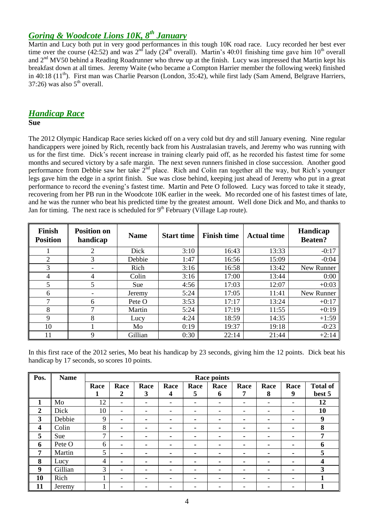# *Goring & Woodcote Lions 10K, 8th January*

Martin and Lucy both put in very good performances in this tough 10K road race. Lucy recorded her best ever time over the course ( $42:52$ ) and was  $2<sup>nd</sup>$  lady ( $24<sup>th</sup>$  overall). Martin's 40:01 finishing time gave him 10<sup>th</sup> overall and 2<sup>nd</sup> MV50 behind a Reading Roadrunner who threw up at the finish. Lucy was impressed that Martin kept his breakfast down at all times. Jeremy Waite (who became a Compton Harrier member the following week) finished in 40:18 (11<sup>th</sup>). First man was Charlie Pearson (London, 35:42), while first lady (Sam Amend, Belgrave Harriers,  $37:26$ ) was also  $5<sup>th</sup>$  overall.

# *Handicap Race*

#### **Sue**

The 2012 Olympic Handicap Race series kicked off on a very cold but dry and still January evening. Nine regular handicappers were joined by Rich, recently back from his Australasian travels, and Jeremy who was running with us for the first time. Dick's recent increase in training clearly paid off, as he recorded his fastest time for some months and secured victory by a safe margin. The next seven runners finished in close succession. Another good performance from Debbie saw her take 2<sup>nd</sup> place. Rich and Colin ran together all the way, but Rich's younger legs gave him the edge in a sprint finish. Sue was close behind, keeping just ahead of Jeremy who put in a great performance to record the evening's fastest time. Martin and Pete O followed. Lucy was forced to take it steady, recovering from her PB run in the Woodcote 10K earlier in the week. Mo recorded one of his fastest times of late, and he was the runner who beat his predicted time by the greatest amount. Well done Dick and Mo, and thanks to Jan for timing. The next race is scheduled for  $9<sup>th</sup>$  February (Village Lap route).

| <b>Finish</b><br><b>Position</b> | <b>Position on</b><br>handicap | <b>Name</b> | <b>Start time</b> | <b>Finish time</b> | <b>Actual time</b> | Handicap<br><b>Beaten?</b> |
|----------------------------------|--------------------------------|-------------|-------------------|--------------------|--------------------|----------------------------|
|                                  | $\overline{2}$                 | Dick        | 3:10              | 16:43              | 13:33              | $-0:17$                    |
| 2                                | 3                              | Debbie      | 1:47              | 16:56              | 15:09              | $-0:04$                    |
| 3                                |                                | Rich        | 3:16              | 16:58              | 13:42              | New Runner                 |
| 4                                | 4                              | Colin       | 3:16              | 17:00              | 13:44              | 0:00                       |
| 5                                | 5                              | Sue         | 4:56              | 17:03              | 12:07              | $+0:03$                    |
| 6                                |                                | Jeremy      | 5:24              | 17:05              | 11:41              | New Runner                 |
| 7                                | 6                              | Pete O      | 3:53              | 17:17              | 13:24              | $+0:17$                    |
| 8                                |                                | Martin      | 5:24              | 17:19              | 11:55              | $+0:19$                    |
| 9                                | 8                              | Lucy        | 4:24              | 18:59              | 14:35              | $+1:59$                    |
| 10                               |                                | Mo          | 0:19              | 19:37              | 19:18              | $-0:23$                    |
| 11                               | 9                              | Gillian     | 0:30              | 22:14              | 21:44              | $+2:14$                    |

In this first race of the 2012 series, Mo beat his handicap by 23 seconds, giving him the 12 points. Dick beat his handicap by 17 seconds, so scores 10 points.

| Pos.                    | <b>Name</b> | <b>Race points</b> |                          |                          |                          |      |      |      |      |                          |                 |
|-------------------------|-------------|--------------------|--------------------------|--------------------------|--------------------------|------|------|------|------|--------------------------|-----------------|
|                         |             | Race               | Race                     | Race                     | Race                     | Race | Race | Race | Race | Race                     | <b>Total of</b> |
|                         |             | 1                  | 2                        | 3                        | 4                        | 5    | 6    | 7    | 8    | 9                        | best 5          |
| 1                       | Mo          | 12                 | $\overline{\phantom{a}}$ | $\overline{\phantom{0}}$ | $\overline{\phantom{0}}$ | -    | -    |      |      | ۰                        | 12              |
| $\overline{2}$          | Dick        | 10                 | $\overline{\phantom{a}}$ | -                        | -                        | -    | -    |      |      | $\overline{\phantom{a}}$ | 10              |
| 3                       | Debbie      | 9                  | ۰                        | ۰                        |                          |      |      |      |      | ۰                        | 9               |
| $\overline{\mathbf{4}}$ | Colin       | 8                  | ۰                        |                          |                          | -    |      |      |      | ۰                        | 8               |
| 5                       | Sue         | 7                  | ۰                        | ۰                        | ۰                        |      | ۰    | -    | -    | ۰                        | 7               |
| 6                       | Pete O      | 6                  | ۰.                       |                          |                          |      |      |      |      | -                        | 6               |
| 7                       | Martin      | 5                  | ۰                        | ۰                        | ۰                        |      |      |      |      | $\blacksquare$           | 5               |
| 8                       | Lucy        | 4                  | ۰                        | ۰                        | ۰                        |      | ۰    | -    | -    | $\blacksquare$           | 4               |
| 9                       | Gillian     | 3                  | $\qquad \qquad -$        | -                        |                          |      |      |      |      |                          | $\mathbf{3}$    |
| 10                      | Rich        |                    | $\overline{\phantom{a}}$ | $\overline{\phantom{0}}$ | $\overline{\phantom{0}}$ | -    | -    |      |      | $\overline{\phantom{a}}$ |                 |
| 11                      | Jeremy      |                    | $\overline{\phantom{0}}$ | -                        |                          |      |      |      |      | ۰                        |                 |